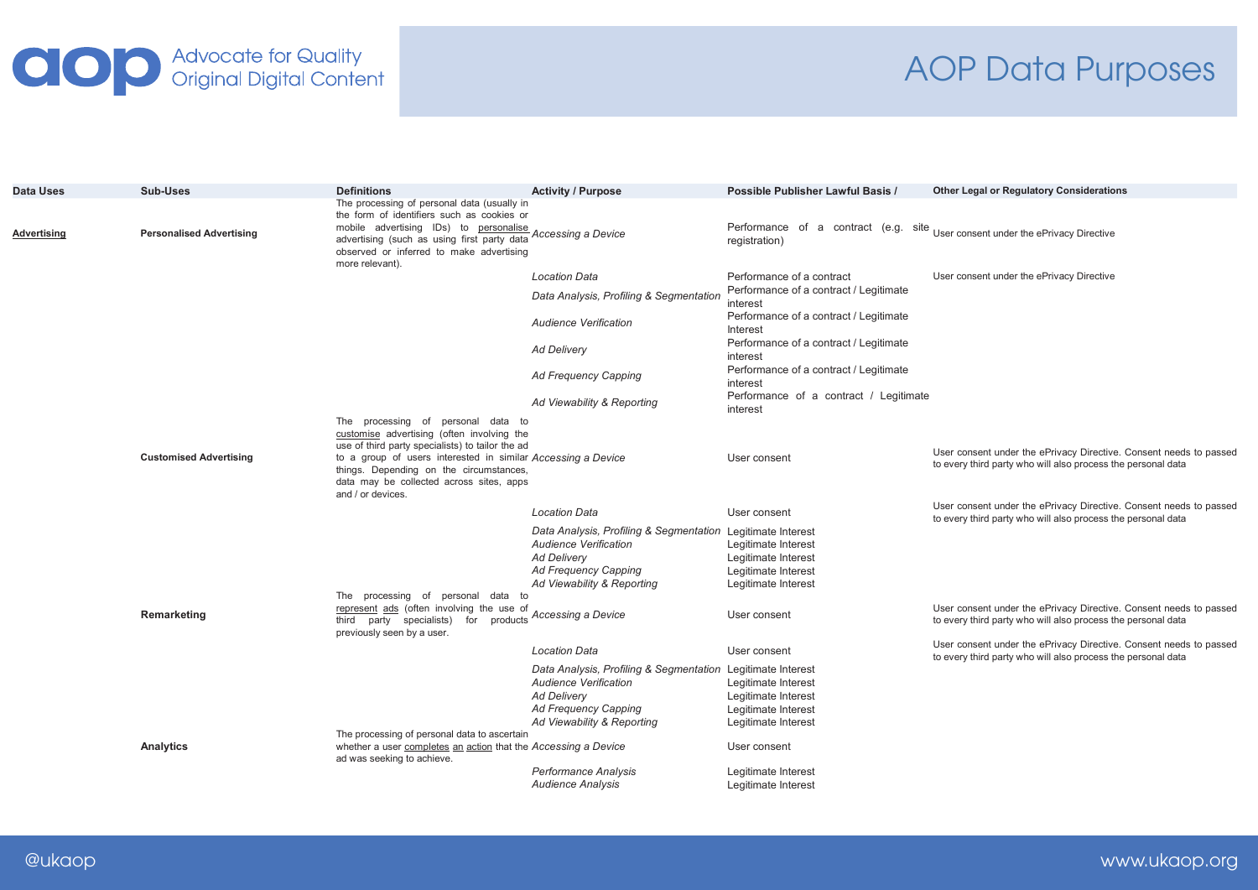## **OD** Advocate for Quality<br>Original Digital Content

## AOP Data Purposes

| <b>Data Uses</b> | Sub-Uses                        | <b>Definitions</b>                                                                                                                                                                                                                                                                                               | <b>Activity / Purpose</b>                                                                                                                                               | Possible Publisher Lawful Basis /                                                                               | <b>Other Legal or Regulatory Considerations</b>                                                                                    |
|------------------|---------------------------------|------------------------------------------------------------------------------------------------------------------------------------------------------------------------------------------------------------------------------------------------------------------------------------------------------------------|-------------------------------------------------------------------------------------------------------------------------------------------------------------------------|-----------------------------------------------------------------------------------------------------------------|------------------------------------------------------------------------------------------------------------------------------------|
| Advertising      | <b>Personalised Advertising</b> | The processing of personal data (usually in<br>the form of identifiers such as cookies or<br>mobile advertising IDs) to personalise<br>advertising (such as using first party data<br>observed or inferred to make advertising<br>more relevant).                                                                | Accessing a Device                                                                                                                                                      | Performance of a contract (e.g. site User consent under the ePrivacy Directive<br>registration)                 |                                                                                                                                    |
|                  |                                 |                                                                                                                                                                                                                                                                                                                  | <b>Location Data</b>                                                                                                                                                    | Performance of a contract                                                                                       | User consent under the ePrivacy Directive                                                                                          |
|                  |                                 |                                                                                                                                                                                                                                                                                                                  | Data Analysis, Profiling & Segmentation                                                                                                                                 | Performance of a contract / Legitimate<br>interest                                                              |                                                                                                                                    |
|                  |                                 |                                                                                                                                                                                                                                                                                                                  | <b>Audience Verification</b>                                                                                                                                            | Performance of a contract / Legitimate<br>Interest                                                              |                                                                                                                                    |
|                  |                                 |                                                                                                                                                                                                                                                                                                                  | <b>Ad Delivery</b>                                                                                                                                                      | Performance of a contract / Legitimate<br>interest                                                              |                                                                                                                                    |
|                  |                                 |                                                                                                                                                                                                                                                                                                                  | <b>Ad Frequency Capping</b>                                                                                                                                             | Performance of a contract / Legitimate<br>interest                                                              |                                                                                                                                    |
|                  |                                 |                                                                                                                                                                                                                                                                                                                  | Ad Viewability & Reporting                                                                                                                                              | Performance of a contract / Legitimate<br>interest                                                              |                                                                                                                                    |
|                  | <b>Customised Advertising</b>   | The processing of personal data to<br>customise advertising (often involving the<br>use of third party specialists) to tailor the ad<br>to a group of users interested in similar Accessing a Device<br>things. Depending on the circumstances,<br>data may be collected across sites, apps<br>and / or devices. |                                                                                                                                                                         | User consent                                                                                                    | User consent under the ePrivacy Directive. Consent needs to passed<br>to every third party who will also process the personal data |
|                  |                                 |                                                                                                                                                                                                                                                                                                                  | <b>Location Data</b>                                                                                                                                                    | User consent                                                                                                    | User consent under the ePrivacy Directive. Consent needs to passed<br>to every third party who will also process the personal data |
|                  |                                 | The processing of personal data to                                                                                                                                                                                                                                                                               | Data Analysis, Profiling & Segmentation Legitimate Interest<br>Audience Verification<br><b>Ad Delivery</b><br><b>Ad Frequency Capping</b><br>Ad Viewability & Reporting | Legitimate Interest<br>Legitimate Interest<br>Legitimate Interest<br>Legitimate Interest                        |                                                                                                                                    |
|                  | Remarketing                     | represent ads (often involving the use of<br>third party specialists) for<br>previously seen by a user.                                                                                                                                                                                                          | products Accessing a Device                                                                                                                                             | User consent                                                                                                    | User consent under the ePrivacy Directive. Consent needs to passed<br>to every third party who will also process the personal data |
|                  |                                 |                                                                                                                                                                                                                                                                                                                  | <b>Location Data</b>                                                                                                                                                    | User consent                                                                                                    | User consent under the ePrivacy Directive. Consent needs to passed<br>to every third party who will also process the personal data |
|                  |                                 |                                                                                                                                                                                                                                                                                                                  | Data Analysis, Profiling & Segmentation<br>Audience Verification<br><b>Ad Deliverv</b><br><b>Ad Frequency Capping</b><br>Ad Viewability & Reporting                     | Legitimate Interest<br>Legitimate Interest<br>Legitimate Interest<br>Legitimate Interest<br>Legitimate Interest |                                                                                                                                    |
|                  | Analytics                       | The processing of personal data to ascertain<br>whether a user completes an action that the Accessing a Device<br>ad was seeking to achieve.                                                                                                                                                                     |                                                                                                                                                                         | User consent                                                                                                    |                                                                                                                                    |
|                  |                                 |                                                                                                                                                                                                                                                                                                                  | <b>Performance Analysis</b><br><b>Audience Analysis</b>                                                                                                                 | Legitimate Interest<br>Legitimate Interest                                                                      |                                                                                                                                    |
|                  |                                 |                                                                                                                                                                                                                                                                                                                  |                                                                                                                                                                         |                                                                                                                 |                                                                                                                                    |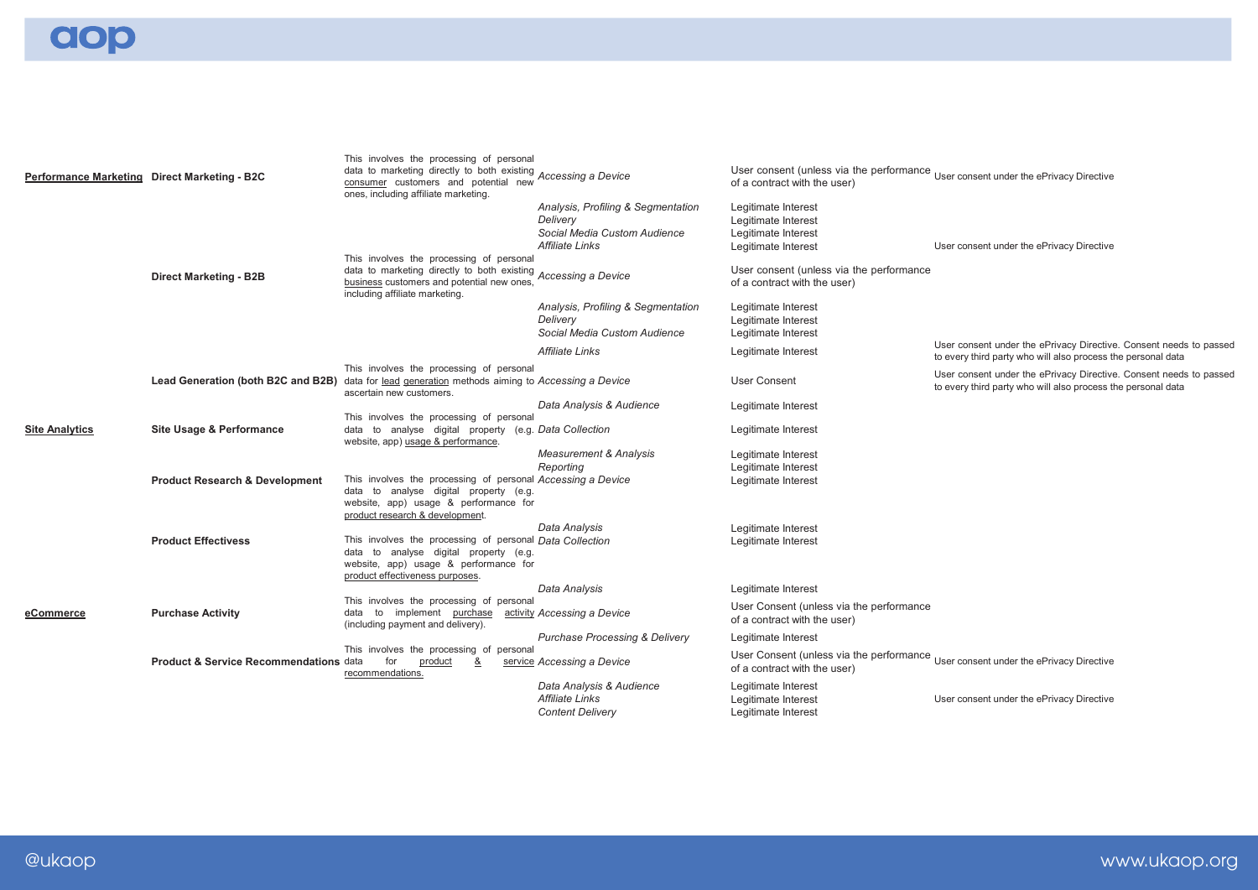aop

| Performance Marketing Direct Marketing - B2C |                                                                                                  | This involves the processing of personal<br>data to marketing directly to both existing<br>consumer customers and potential new<br>ones, including affiliate marketing.           | Accessing a Device                                                                                | User consent (unless via the performance User consent under the ePrivacy Directive<br>of a contract with the user)                   |                                                                                                                                    |
|----------------------------------------------|--------------------------------------------------------------------------------------------------|-----------------------------------------------------------------------------------------------------------------------------------------------------------------------------------|---------------------------------------------------------------------------------------------------|--------------------------------------------------------------------------------------------------------------------------------------|------------------------------------------------------------------------------------------------------------------------------------|
|                                              |                                                                                                  | This involves the processing of personal<br>data to marketing directly to both existing                                                                                           | Analysis, Profiling & Segmentation<br>Delivery<br>Social Media Custom Audience<br>Affiliate Links | Legitimate Interest<br>Legitimate Interest<br>Legitimate Interest<br>Legitimate Interest<br>User consent (unless via the performance | User consent under the ePrivacy Directive                                                                                          |
|                                              | <b>Direct Marketing - B2B</b>                                                                    | business customers and potential new ones<br>including affiliate marketing.                                                                                                       | Accessing a Device                                                                                | of a contract with the user)                                                                                                         |                                                                                                                                    |
|                                              |                                                                                                  |                                                                                                                                                                                   | Analysis, Profiling & Segmentation<br>Delivery<br>Social Media Custom Audience                    | Legitimate Interest<br>Legitimate Interest<br>Legitimate Interest                                                                    |                                                                                                                                    |
|                                              |                                                                                                  |                                                                                                                                                                                   | Affiliate Links                                                                                   | Legitimate Interest                                                                                                                  | User consent under the ePrivacy Directive. Consent needs to passed<br>to every third party who will also process the personal data |
|                                              | Lead Generation (both B2C and B2B) data for lead generation methods aiming to Accessing a Device | This involves the processing of personal<br>ascertain new customers.                                                                                                              |                                                                                                   | <b>User Consent</b>                                                                                                                  | User consent under the ePrivacy Directive. Consent needs to passed<br>to every third party who will also process the personal data |
|                                              |                                                                                                  |                                                                                                                                                                                   | Data Analysis & Audience                                                                          | Legitimate Interest                                                                                                                  |                                                                                                                                    |
| <b>Site Analytics</b>                        | <b>Site Usage &amp; Performance</b>                                                              | This involves the processing of personal<br>data to analyse digital property (e.g. Data Collection<br>website, app) usage & performance.                                          |                                                                                                   | Legitimate Interest                                                                                                                  |                                                                                                                                    |
|                                              |                                                                                                  |                                                                                                                                                                                   | <b>Measurement &amp; Analysis</b><br>Reporting                                                    | Legitimate Interest<br>Legitimate Interest                                                                                           |                                                                                                                                    |
|                                              | <b>Product Research &amp; Development</b>                                                        | This involves the processing of personal Accessing a Device<br>data to analyse digital property (e.g.<br>website, app) usage & performance for<br>product research & development. |                                                                                                   | Legitimate Interest                                                                                                                  |                                                                                                                                    |
|                                              | <b>Product Effectivess</b>                                                                       | This involves the processing of personal Data Collection<br>data to analyse digital property (e.g.<br>website, app) usage & performance for<br>product effectiveness purposes.    | Data Analysis                                                                                     | Legitimate Interest<br>Legitimate Interest                                                                                           |                                                                                                                                    |
|                                              |                                                                                                  |                                                                                                                                                                                   | Data Analysis                                                                                     | Legitimate Interest                                                                                                                  |                                                                                                                                    |
| eCommerce                                    | <b>Purchase Activity</b>                                                                         | This involves the processing of personal<br>data to implement purchase<br>(including payment and delivery).                                                                       | activity Accessing a Device                                                                       | User Consent (unless via the performance<br>of a contract with the user)                                                             |                                                                                                                                    |
|                                              |                                                                                                  |                                                                                                                                                                                   | <b>Purchase Processing &amp; Delivery</b>                                                         | Legitimate Interest                                                                                                                  |                                                                                                                                    |
|                                              | <b>Product &amp; Service Recommendations data</b>                                                | This involves the processing of personal<br>for<br>product<br>&<br>recommendations.                                                                                               | service Accessing a Device                                                                        | User Consent (unless via the performance User consent under the ePrivacy Directive<br>of a contract with the user)                   |                                                                                                                                    |
|                                              |                                                                                                  |                                                                                                                                                                                   | Data Analysis & Audience<br><b>Affiliate Links</b><br><b>Content Delivery</b>                     | Legitimate Interest<br>Legitimate Interest<br>Legitimate Interest                                                                    | User consent under the ePrivacy Directive                                                                                          |